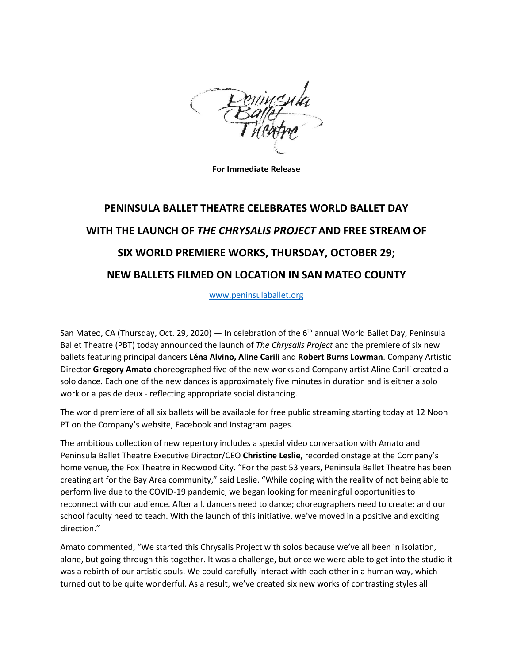

**For Immediate Release**

## **PENINSULA BALLET THEATRE CELEBRATES WORLD BALLET DAY WITH THE LAUNCH OF** *THE CHRYSALIS PROJECT* **AND FREE STREAM OF SIX WORLD PREMIERE WORKS, THURSDAY, OCTOBER 29; NEW BALLETS FILMED ON LOCATION IN SAN MATEO COUNTY**

[www.peninsulaballet.org](http://www.peninsulaballet.org/)

San Mateo, CA (Thursday, Oct. 29, 2020) — In celebration of the  $6<sup>th</sup>$  annual World Ballet Day, Peninsula Ballet Theatre (PBT) today announced the launch of *The Chrysalis Project* and the premiere of six new ballets featuring principal dancers **Léna Alvino, Aline Carili** and **Robert Burns Lowman**. Company Artistic Director **Gregory Amato** choreographed five of the new works and Company artist Aline Carili created a solo dance. Each one of the new dances is approximately five minutes in duration and is either a solo work or a pas de deux - reflecting appropriate social distancing.

The world premiere of all six ballets will be available for free public streaming starting today at 12 Noon PT on the Company's website, Facebook and Instagram pages.

The ambitious collection of new repertory includes a special video conversation with Amato and Peninsula Ballet Theatre Executive Director/CEO **Christine Leslie,** recorded onstage at the Company's home venue, the Fox Theatre in Redwood City. "For the past 53 years, Peninsula Ballet Theatre has been creating art for the Bay Area community," said Leslie. "While coping with the reality of not being able to perform live due to the COVID-19 pandemic, we began looking for meaningful opportunities to reconnect with our audience. After all, dancers need to dance; choreographers need to create; and our school faculty need to teach. With the launch of this initiative, we've moved in a positive and exciting direction."

Amato commented, "We started this Chrysalis Project with solos because we've all been in isolation, alone, but going through this together. It was a challenge, but once we were able to get into the studio it was a rebirth of our artistic souls. We could carefully interact with each other in a human way, which turned out to be quite wonderful. As a result, we've created six new works of contrasting styles all